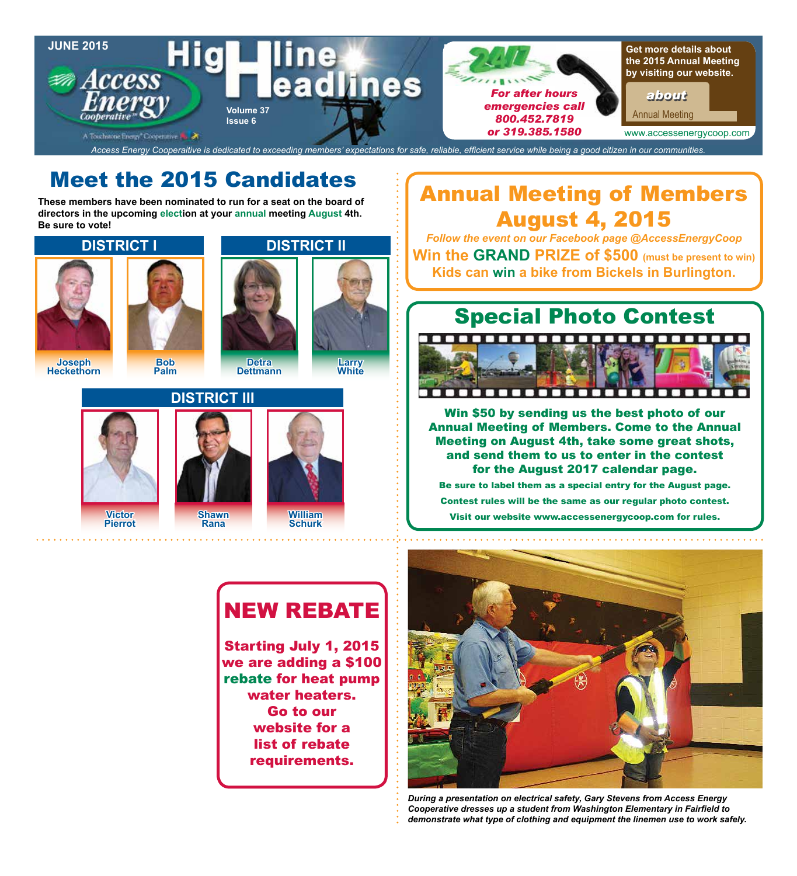

# Meet the 2015 Candidates

**These members have been nominated to run for a seat on the board of directors in the upcoming election at your annual meeting August 4th. Be sure to vote!**





*Follow the event on our Facebook page @AccessEnergyCoop* **Win the GRAND PRIZE of \$500 (must be present to win) Kids can win a bike from Bickels in Burlington.**



Win \$50 by sending us the best photo of our Annual Meeting of Members. Come to the Annual Meeting on August 4th, take some great shots, and send them to us to enter in the contest for the August 2017 calendar page.

Be sure to label them as a special entry for the August page. Contest rules will be the same as our regular photo contest. Visit our website www.accessenergycoop.com for rules.

# NEW REBATE

Starting July 1, 2015 we are adding a \$100 rebate for heat pump water heaters. Go to our website for a list of rebate requirements.



*During a presentation on electrical safety, Gary Stevens from Access Energy Cooperative dresses up a student from Washington Elementary in Fairfield to demonstrate what type of clothing and equipment the linemen use to work safely.*







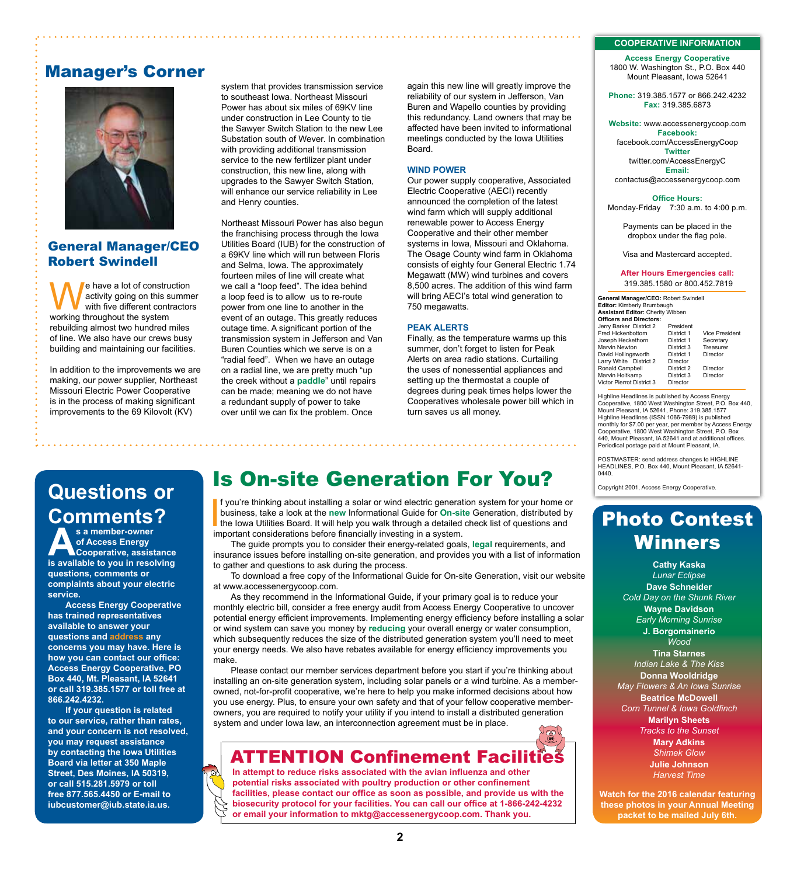### Manager's Corner



### General Manager/CEO Robert Swindell

e have a lot of construction activity going on this summer with five different contractors working throughout the system rebuilding almost two hundred miles of line. We also have our crews busy building and maintaining our facilities.

In addition to the improvements we are making, our power supplier, Northeast Missouri Electric Power Cooperative is in the process of making significant improvements to the 69 Kilovolt (KV)

system that provides transmission service to southeast Iowa. Northeast Missouri Power has about six miles of 69KV line under construction in Lee County to tie the Sawyer Switch Station to the new Lee Substation south of Wever. In combination with providing additional transmission service to the new fertilizer plant under construction, this new line, along with upgrades to the Sawyer Switch Station, will enhance our service reliability in Lee and Henry counties.

Northeast Missouri Power has also begun the franchising process through the Iowa Utilities Board (IUB) for the construction of a 69KV line which will run between Floris and Selma, Iowa. The approximately fourteen miles of line will create what we call a "loop feed". The idea behind a loop feed is to allow us to re-route power from one line to another in the event of an outage. This greatly reduces outage time. A significant portion of the transmission system in Jefferson and Van Buren Counties which we serve is on a "radial feed". When we have an outage on a radial line, we are pretty much "up the creek without a **paddle**" until repairs can be made; meaning we do not have a redundant supply of power to take over until we can fix the problem. Once

again this new line will greatly improve the reliability of our system in Jefferson, Van Buren and Wapello counties by providing this redundancy. Land owners that may be affected have been invited to informational meetings conducted by the Iowa Utilities Board.

#### **WIND POWER**

Our power supply cooperative, Associated Electric Cooperative (AECI) recently announced the completion of the latest wind farm which will supply additional renewable power to Access Energy Cooperative and their other member systems in Iowa, Missouri and Oklahoma. The Osage County wind farm in Oklahoma consists of eighty four General Electric 1.74 Megawatt (MW) wind turbines and covers 8,500 acres. The addition of this wind farm will bring AECI's total wind generation to 750 megawatts.

#### **PEAK ALERTS**

Finally, as the temperature warms up this summer, don't forget to listen for Peak Alerts on area radio stations. Curtailing the uses of nonessential appliances and setting up the thermostat a couple of degrees during peak times helps lower the Cooperatives wholesale power bill which in turn saves us all money.

# **Questions or Comments?**

**As a member-owner<br>
of Access Energy<br>
<b>is available to you in resolving of Access Energy Cooperative, assistance questions, comments or complaints about your electric service.**

**Access Energy Cooperative has trained representatives available to answer your questions and address any concerns you may have. Here is how you can contact our office: Access Energy Cooperative, PO Box 440, Mt. Pleasant, IA 52641 or call 319.385.1577 or toll free at 866.242.4232.**

**If your question is related to our service, rather than rates, and your concern is not resolved, you may request assistance by contacting the Iowa Utilities Board via letter at 350 Maple Street, Des Moines, IA 50319, or call 515.281.5979 or toll free 877.565.4450 or E-mail to iubcustomer@iub.state.ia.us.**

### Is On-site Generation For You?

If you're thinking about installing a solar or wind electric generatious business, take a look at the new Informational Guide for On-site lowa Utilities Board. It will help you walk through a detailed important considerati f you're thinking about installing a solar or wind electric generation system for your home or business, take a look at the **new** Informational Guide for **On-site** Generation, distributed by the Iowa Utilities Board. It will help you walk through a detailed check list of questions and

The guide prompts you to consider their energy-related goals, **legal** requirements, and insurance issues before installing on-site generation, and provides you with a list of information to gather and questions to ask during the process.

To download a free copy of the Informational Guide for On-site Generation, visit our website at www.accessenergycoop.com.

As they recommend in the Informational Guide, if your primary goal is to reduce your monthly electric bill, consider a free energy audit from Access Energy Cooperative to uncover potential energy efficient improvements. Implementing energy efficiency before installing a solar or wind system can save you money by **reducing** your overall energy or water consumption, which subsequently reduces the size of the distributed generation system you'll need to meet your energy needs. We also have rebates available for energy efficiency improvements you make.

Please contact our member services department before you start if you're thinking about installing an on-site generation system, including solar panels or a wind turbine. As a memberowned, not-for-profit cooperative, we're here to help you make informed decisions about how you use energy. Plus, to ensure your own safety and that of your fellow cooperative memberowners, you are required to notify your utility if you intend to install a distributed generation system and under Iowa law, an interconnection agreement must be in place.

### **ATTENTION Confinement Faci**

**In attempt to reduce risks associated with the avian influenza and other potential risks associated with poultry production or other confinement facilities, please contact our office as soon as possible, and provide us with the biosecurity protocol for your facilities. You can call our office at 1-866-242-4232 or email your information to mktg@accessenergycoop.com. Thank you.**

#### **COOPERATIVE INFORMATION**

**Access Energy Cooperative** 1800 W. Washington St., P.O. Box 440 Mount Pleasant, Iowa 52641

**Phone:** 319.385.1577 or 866.242.4232 **Fax:** 319.385.6873

**Website:** www.accessenergycoop.com **Facebook:** facebook.com/AccessEnergyCoop **Twitter** twitter.com/AccessEnergyC **Email:** contactus@accessenergycoop.com

**Office Hours:** Monday-Friday7:30 a.m. to 4:00 p.m.

Payments can be placed in the dropbox under the flag pole.

Visa and Mastercard accepted.

#### **After Hours Emergencies call:** 319.385.1580 or 800.452.7819

**General Manager/CEO:** Robert Swindell **Editor:** Kimberly Brumbaugh **Assistant Editor:** Cherity Wibben **Officers and Directors:** Jerry Barker District 2 President Fred Hickenbottom District 1 Vice President Joseph Heckethorn District 1 Secretary Marvin Newton District 3<br>
David Hollingsworth District 1 David Hollingsworth District 1 Director Larry White District 2 Director<br>Ronald Campbell District 2 Ronald Campbell District 2 Director Marvin Holtkamp District 3 Director Victor Pierrot District 3 Director

Highline Headlines is published by Access Energy Cooperative, 1800 West Washington Street, P.O. Box 440, Mount Pleasant, IA 52641, Phone: 319.385.1577 Highline Headlines (ISSN 1066-7989) is published monthly for \$7.00 per year, per member by Access Energy Cooperative, 1800 West Washington Street, P.O. Box 440, Mount Pleasant, IA 52641 and at additional offices. Periodical postage paid at Mount Pleasant, IA.

POSTMASTER: send address changes to HIGHLINE HEADLINES, P.O. Box 440, Mount Pleasant, IA 52641- 0440.

Copyright 2001, Access Energy Cooperative.

### Photo Contest Winners

**Cathy Kaska** *Lunar Eclipse* **Dave Schneider** *Cold Day on the Shunk River* **Wayne Davidson** *Early Morning Sunrise* **J. Borgomainerio** *Wood* **Tina Starnes** *Indian Lake & The Kiss* **Donna Wooldridge** *May Flowers & An Iowa Sunrise* **Beatrice McDowell** *Corn Tunnel & Iowa Goldfinch*  **Marilyn Sheets** *Tracks to the Sunset* **Mary Adkins** *Shimek Glow* **Julie Johnson** *Harvest Time*

**Watch for the 2016 calendar featuring these photos in your Annual Meeting packet to be mailed July 6th.**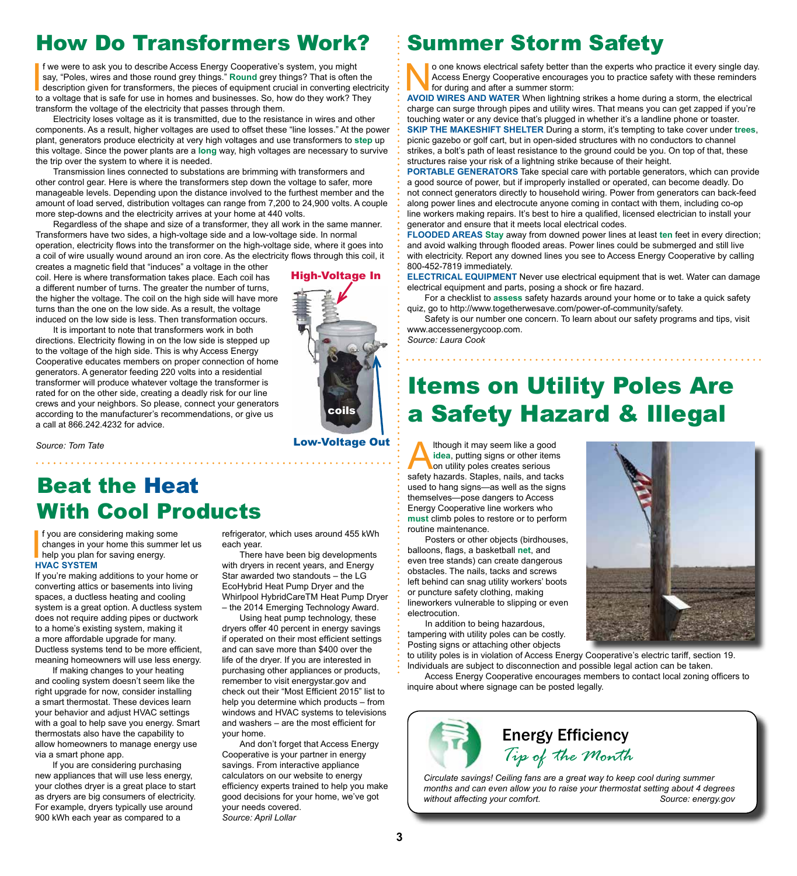## How Do Transformers Work?

If we were to ask you to describe Access Energy Cooperative's system, you might say, "Poles, wires and those round grey things." **Round** grey things? That is often the description given for transformers, the pieces of equi **f** we were to ask you to describe Access Energy Cooperative's system, you might say, "Poles, wires and those round grey things." **Round** grey things? That is often the description given for transformers, the pieces of equipment crucial in converting electricity transform the voltage of the electricity that passes through them.

Electricity loses voltage as it is transmitted, due to the resistance in wires and other components. As a result, higher voltages are used to offset these "line losses." At the power plant, generators produce electricity at very high voltages and use transformers to **step** up this voltage. Since the power plants are a **long** way, high voltages are necessary to survive the trip over the system to where it is needed.

Transmission lines connected to substations are brimming with transformers and other control gear. Here is where the transformers step down the voltage to safer, more manageable levels. Depending upon the distance involved to the furthest member and the amount of load served, distribution voltages can range from 7,200 to 24,900 volts. A couple more step-downs and the electricity arrives at your home at 440 volts.

Regardless of the shape and size of a transformer, they all work in the same manner. Transformers have two sides, a high-voltage side and a low-voltage side. In normal operation, electricity flows into the transformer on the high-voltage side, where it goes into a coil of wire usually wound around an iron core. As the electricity flows through this coil, it

creates a magnetic field that "induces" a voltage in the other coil. Here is where transformation takes place. Each coil has a different number of turns. The greater the number of turns, the higher the voltage. The coil on the high side will have more turns than the one on the low side. As a result, the voltage induced on the low side is less. Then transformation occurs.

It is important to note that transformers work in both directions. Electricity flowing in on the low side is stepped up to the voltage of the high side. This is why Access Energy Cooperative educates members on proper connection of home generators. A generator feeding 220 volts into a residential transformer will produce whatever voltage the transformer is rated for on the other side, creating a deadly risk for our line crews and your neighbors. So please, connect your generators according to the manufacturer's recommendations, or give us a call at 866.242.4232 for advice.

coils High-Voltage In

*Source: Tom Tate*

## Beat the Heat With Cool Products

f you are cons<br>
changes in you<br>
help you plan<br>
HVAC SYSTEM f you are considering making some changes in your home this summer let us help you plan for saving energy.

If you're making additions to your home or converting attics or basements into living spaces, a ductless heating and cooling system is a great option. A ductless system does not require adding pipes or ductwork to a home's existing system, making it a more affordable upgrade for many. Ductless systems tend to be more efficient, meaning homeowners will use less energy.

If making changes to your heating and cooling system doesn't seem like the right upgrade for now, consider installing a smart thermostat. These devices learn your behavior and adjust HVAC settings with a goal to help save you energy. Smart thermostats also have the capability to allow homeowners to manage energy use via a smart phone app.

If you are considering purchasing new appliances that will use less energy, your clothes dryer is a great place to start as dryers are big consumers of electricity. For example, dryers typically use around 900 kWh each year as compared to a

refrigerator, which uses around 455 kWh each year.

There have been big developments with dryers in recent years, and Energy Star awarded two standouts – the LG EcoHybrid Heat Pump Dryer and the Whirlpool HybridCareTM Heat Pump Dryer – the 2014 Emerging Technology Award.

Using heat pump technology, these dryers offer 40 percent in energy savings if operated on their most efficient settings and can save more than \$400 over the life of the dryer. If you are interested in purchasing other appliances or products, remember to visit energystar.gov and check out their "Most Efficient 2015" list to help you determine which products – from windows and HVAC systems to televisions and washers – are the most efficient for your home.

And don't forget that Access Energy Cooperative is your partner in energy savings. From interactive appliance calculators on our website to energy efficiency experts trained to help you make good decisions for your home, we've got your needs covered. *Source: April Lollar*

## Summer Storm Safety

O one knows electrical safety better than the experts who practice it every single day.<br>Access Energy Cooperative encourages you to practice safety with these reminders<br>for during and after a summer storm:<br>AVOID WIRES AND Access Energy Cooperative encourages you to practice safety with these reminders for during and after a summer storm:

**AVOID WIRES AND WATER** When lightning strikes a home during a storm, the electrical charge can surge through pipes and utility wires. That means you can get zapped if you're touching water or any device that's plugged in whether it's a landline phone or toaster. **SKIP THE MAKESHIFT SHELTER** During a storm, it's tempting to take cover under **trees**, picnic gazebo or golf cart, but in open-sided structures with no conductors to channel strikes, a bolt's path of least resistance to the ground could be you. On top of that, these structures raise your risk of a lightning strike because of their height.

**PORTABLE GENERATORS** Take special care with portable generators, which can provide a good source of power, but if improperly installed or operated, can become deadly. Do not connect generators directly to household wiring. Power from generators can back-feed along power lines and electrocute anyone coming in contact with them, including co-op line workers making repairs. It's best to hire a qualified, licensed electrician to install your generator and ensure that it meets local electrical codes.

**FLOODED AREAS Stay** away from downed power lines at least **ten** feet in every direction; and avoid walking through flooded areas. Power lines could be submerged and still live with electricity. Report any downed lines you see to Access Energy Cooperative by calling 800-452-7819 immediately.

**ELECTRICAL EQUIPMENT** Never use electrical equipment that is wet. Water can damage electrical equipment and parts, posing a shock or fire hazard.

For a checklist to **assess** safety hazards around your home or to take a quick safety quiz, go to http://www.togetherwesave.com/power-of-community/safety.

Safety is our number one concern. To learn about our safety programs and tips, visit www.accessenergycoop.com. *Source: Laura Cook*

Items on Utility Poles Are a Safety Hazard & Illegal

Ithough it may seem like a good<br>idea, putting signs or other items<br>on utility poles creates serious<br>safety hazards. Stanles, nails, and tack **idea**, putting signs or other items on utility poles creates serious safety hazards. Staples, nails, and tacks used to hang signs—as well as the signs themselves—pose dangers to Access Energy Cooperative line workers who **must** climb poles to restore or to perform routine maintenance.

Posters or other objects (birdhouses, balloons, flags, a basketball **net**, and even tree stands) can create dangerous obstacles. The nails, tacks and screws left behind can snag utility workers' boots or puncture safety clothing, making lineworkers vulnerable to slipping or even electrocution.

In addition to being hazardous, tampering with utility poles can be costly. Posting signs or attaching other objects

to utility poles is in violation of Access Energy Cooperative's electric tariff, section 19. Individuals are subject to disconnection and possible legal action can be taken.

Access Energy Cooperative encourages members to contact local zoning officers to inquire about where signage can be posted legally.



*Circulate savings! Ceiling fans are a great way to keep cool during summer months and can even allow you to raise your thermostat setting about 4 degrees without affecting your comfort. Source: energy.gov*





Low-Voltage Out